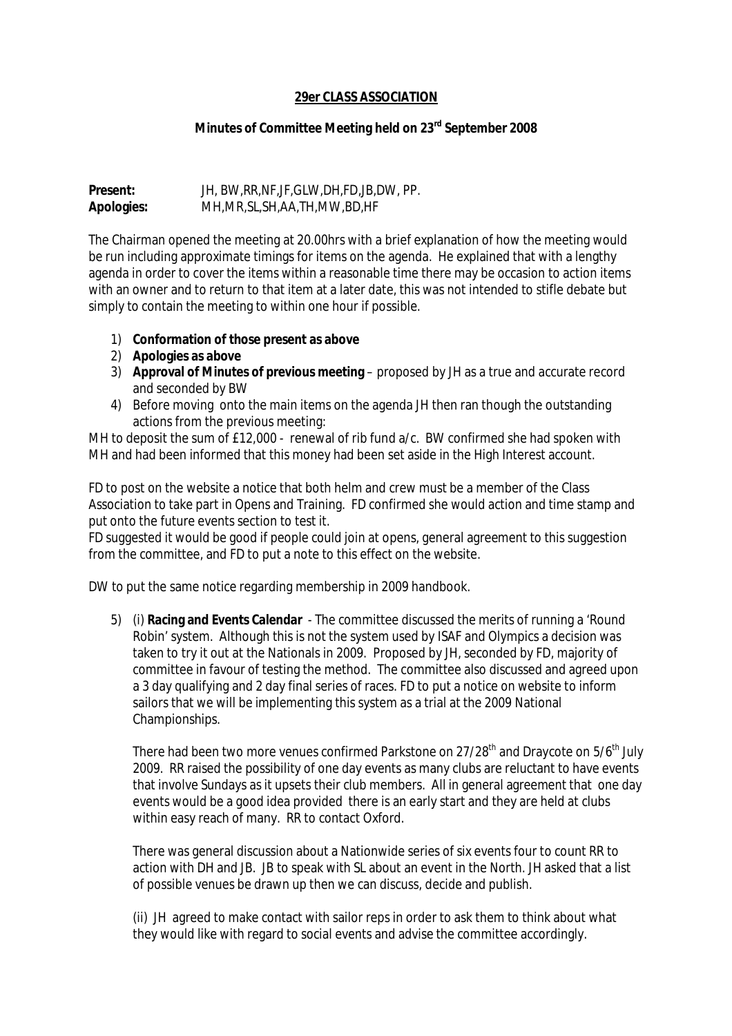## **29er CLASS ASSOCIATION**

## **Minutes of Committee Meeting held on 23rd September 2008**

## **Present:** JH, BW,RR,NF,JF,GLW,DH,FD,JB,DW, PP. **Apologies:** MH,MR,SL,SH,AA,TH,MW,BD,HF

The Chairman opened the meeting at 20.00hrs with a brief explanation of how the meeting would be run including approximate timings for items on the agenda. He explained that with a lengthy agenda in order to cover the items within a reasonable time there may be occasion to action items with an owner and to return to that item at a later date, this was not intended to stifle debate but simply to contain the meeting to within one hour if possible.

- 1) **Conformation of those present as above**
- 2) **Apologies as above**
- 3) **Approval of Minutes of previous meeting** proposed by JH as a true and accurate record and seconded by BW
- 4) Before moving onto the main items on the agenda JH then ran though the outstanding actions from the previous meeting:

MH to deposit the sum of £12,000 - renewal of rib fund a/c. BW confirmed she had spoken with MH and had been informed that this money had been set aside in the High Interest account.

FD to post on the website a notice that both helm and crew must be a member of the Class Association to take part in Opens and Training. FD confirmed she would action and time stamp and put onto the future events section to test it.

FD suggested it would be good if people could join at opens, general agreement to this suggestion from the committee, and FD to put a note to this effect on the website.

DW to put the same notice regarding membership in 2009 handbook.

5) (i) **Racing and Events Calendar** - The committee discussed the merits of running a 'Round Robin' system. Although this is not the system used by ISAF and Olympics a decision was taken to try it out at the Nationals in 2009. Proposed by JH, seconded by FD, majority of committee in favour of testing the method. The committee also discussed and agreed upon a 3 day qualifying and 2 day final series of races. FD to put a notice on website to inform sailors that we will be implementing this system as a trial at the 2009 National Championships.

There had been two more venues confirmed Parkstone on 27/28<sup>th</sup> and Draycote on 5/6<sup>th</sup> July 2009. RR raised the possibility of one day events as many clubs are reluctant to have events that involve Sundays as it upsets their club members. All in general agreement that one day events would be a good idea provided there is an early start and they are held at clubs within easy reach of many. RR to contact Oxford.

There was general discussion about a Nationwide series of six events four to count RR to action with DH and JB. JB to speak with SL about an event in the North. JH asked that a list of possible venues be drawn up then we can discuss, decide and publish.

(ii) JH agreed to make contact with sailor reps in order to ask them to think about what they would like with regard to social events and advise the committee accordingly.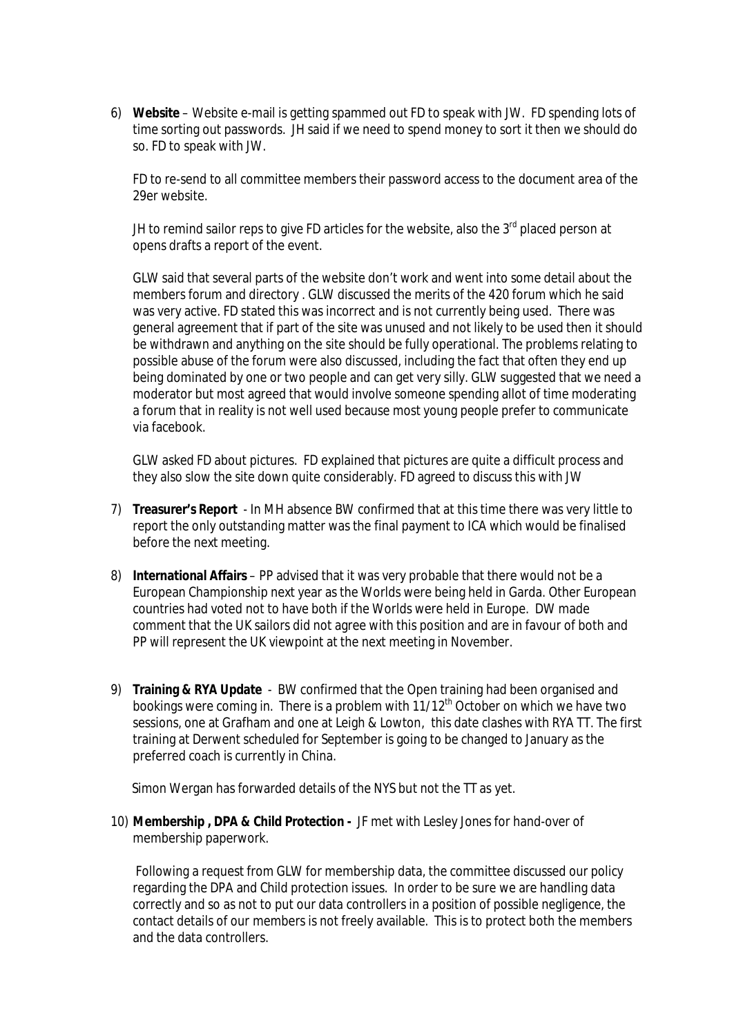6) **Website** – Website e-mail is getting spammed out FD to speak with JW. FD spending lots of time sorting out passwords. JH said if we need to spend money to sort it then we should do so. FD to speak with JW.

FD to re-send to all committee members their password access to the document area of the 29er website.

JH to remind sailor reps to give FD articles for the website, also the  $3<sup>rd</sup>$  placed person at opens drafts a report of the event.

GLW said that several parts of the website don't work and went into some detail about the members forum and directory . GLW discussed the merits of the 420 forum which he said was very active. FD stated this was incorrect and is not currently being used. There was general agreement that if part of the site was unused and not likely to be used then it should be withdrawn and anything on the site should be fully operational. The problems relating to possible abuse of the forum were also discussed, including the fact that often they end up being dominated by one or two people and can get very silly. GLW suggested that we need a moderator but most agreed that would involve someone spending allot of time moderating a forum that in reality is not well used because most young people prefer to communicate via facebook.

GLW asked FD about pictures. FD explained that pictures are quite a difficult process and they also slow the site down quite considerably. FD agreed to discuss this with JW

- 7) **Treasurer's Report**  In MH absence BW confirmed that at this time there was very little to report the only outstanding matter was the final payment to ICA which would be finalised before the next meeting.
- 8) **International Affairs**  PP advised that it was very probable that there would not be a European Championship next year as the Worlds were being held in Garda. Other European countries had voted not to have both if the Worlds were held in Europe. DW made comment that the UK sailors did not agree with this position and are in favour of both and PP will represent the UK viewpoint at the next meeting in November.
- 9) **Training & RYA Update** BW confirmed that the Open training had been organised and bookings were coming in. There is a problem with 11/12<sup>th</sup> October on which we have two sessions, one at Grafham and one at Leigh & Lowton, this date clashes with RYA TT. The first training at Derwent scheduled for September is going to be changed to January as the preferred coach is currently in China.

Simon Wergan has forwarded details of the NYS but not the TT as yet.

10) **Membership , DPA & Child Protection -** JF met with Lesley Jones for hand-over of membership paperwork.

Following a request from GLW for membership data, the committee discussed our policy regarding the DPA and Child protection issues. In order to be sure we are handling data correctly and so as not to put our data controllers in a position of possible negligence, the contact details of our members is not freely available. This is to protect both the members and the data controllers.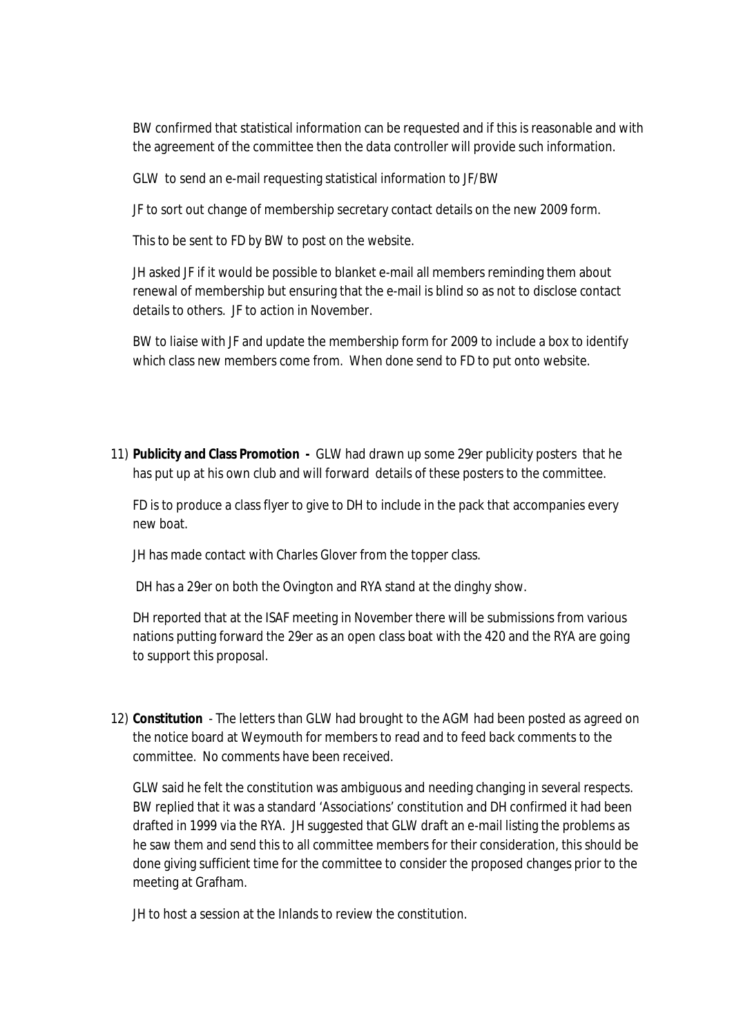BW confirmed that statistical information can be requested and if this is reasonable and with the agreement of the committee then the data controller will provide such information.

GLW to send an e-mail requesting statistical information to JF/BW

JF to sort out change of membership secretary contact details on the new 2009 form.

This to be sent to FD by BW to post on the website.

JH asked JF if it would be possible to blanket e-mail all members reminding them about renewal of membership but ensuring that the e-mail is blind so as not to disclose contact details to others. JF to action in November.

BW to liaise with JF and update the membership form for 2009 to include a box to identify which class new members come from. When done send to FD to put onto website.

11) **Publicity and Class Promotion -** GLW had drawn up some 29er publicity posters that he has put up at his own club and will forward details of these posters to the committee.

FD is to produce a class flyer to give to DH to include in the pack that accompanies every new boat.

JH has made contact with Charles Glover from the topper class.

DH has a 29er on both the Ovington and RYA stand at the dinghy show.

DH reported that at the ISAF meeting in November there will be submissions from various nations putting forward the 29er as an open class boat with the 420 and the RYA are going to support this proposal.

12) **Constitution** - The letters than GLW had brought to the AGM had been posted as agreed on the notice board at Weymouth for members to read and to feed back comments to the committee. No comments have been received.

GLW said he felt the constitution was ambiguous and needing changing in several respects. BW replied that it was a standard 'Associations' constitution and DH confirmed it had been drafted in 1999 via the RYA. JH suggested that GLW draft an e-mail listing the problems as he saw them and send this to all committee members for their consideration, this should be done giving sufficient time for the committee to consider the proposed changes prior to the meeting at Grafham.

JH to host a session at the Inlands to review the constitution.